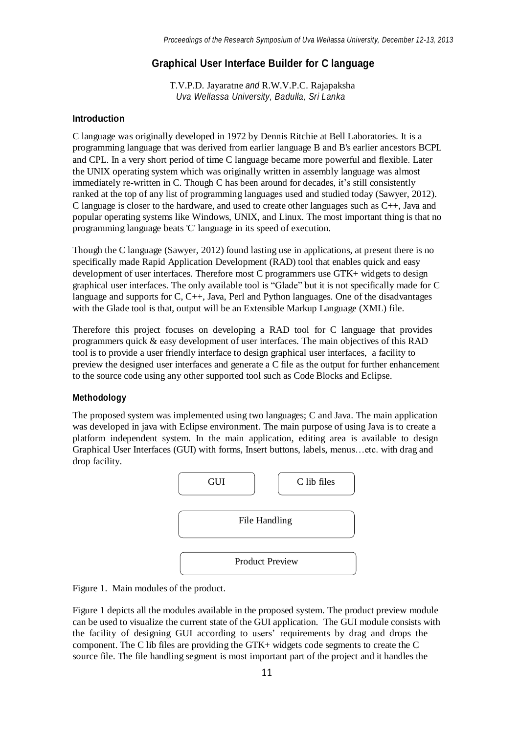# **Graphical User Interface Builder for C language**

T.V.P.D. Jayaratne *and* R.W.V.P.C. Rajapaksha *Uva Wellassa University, Badulla, Sri Lanka*

## **Introduction**

C language was originally developed in 1972 by Dennis Ritchie at Bell Laboratories. It is a programming language that was derived from earlier language B and B's earlier ancestors BCPL and CPL. In a very short period of time C language became more powerful and flexible. Later the UNIX operating system which was originally written in assembly language was almost immediately re-written in C. Though C has been around for decades, it's still consistently ranked at the top of any list of programming languages used and studied today (Sawyer, 2012). C language is closer to the hardware, and used to create other languages such as C++, Java and popular operating systems like Windows, UNIX, and Linux. The most important thing is that no programming language beats 'C' language in its speed of execution.

Though the C language (Sawyer, 2012) found lasting use in applications, at present there is no specifically made Rapid Application Development (RAD) tool that enables quick and easy development of user interfaces. Therefore most C programmers use GTK+ widgets to design graphical user interfaces. The only available tool is "Glade" but it is not specifically made for C language and supports for C, C++, Java, Perl and Python languages. One of the disadvantages with the Glade tool is that, output will be an Extensible Markup Language (XML) file.

Therefore this project focuses on developing a RAD tool for C language that provides programmers quick & easy development of user interfaces. The main objectives of this RAD tool is to provide a user friendly interface to design graphical user interfaces, a facility to preview the designed user interfaces and generate a C file as the output for further enhancement to the source code using any other supported tool such as Code Blocks and Eclipse.

#### **Methodology**

The proposed system was implemented using two languages; C and Java. The main application was developed in java with Eclipse environment. The main purpose of using Java is to create a platform independent system. In the main application, editing area is available to design Graphical User Interfaces (GUI) with forms, Insert buttons, labels, menus…etc. with drag and drop facility.



Figure 1. Main modules of the product.

Figure 1 depicts all the modules available in the proposed system. The product preview module can be used to visualize the current state of the GUI application. The GUI module consists with the facility of designing GUI according to users' requirements by drag and drops the component. The C lib files are providing the GTK+ widgets code segments to create the C source file. The file handling segment is most important part of the project and it handles the